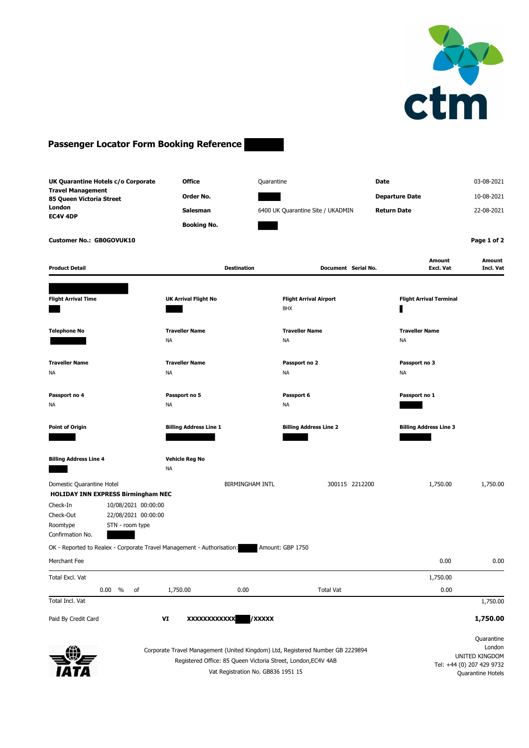

## **Passenger Locator Form Booking Reference**

| UK Quarantine Hotels c/o Corporate<br><b>Travel Management</b><br>85 Queen Victoria Street<br>London<br>EC4V 4DP<br><b>Customer No.: GB0GOVUK10</b>                                              | <b>Office</b><br>Order No.<br><b>Salesman</b><br><b>Booking No.</b>                                 | Quarantine<br>6400 UK Quarantine Site / UKADMIN                                | Date<br><b>Departure Date</b><br><b>Return Date</b> | 03-08-2021<br>10-08-2021<br>22-08-2021<br>Page 1 of 2                                    |
|--------------------------------------------------------------------------------------------------------------------------------------------------------------------------------------------------|-----------------------------------------------------------------------------------------------------|--------------------------------------------------------------------------------|-----------------------------------------------------|------------------------------------------------------------------------------------------|
| <b>Product Detail</b>                                                                                                                                                                            | <b>Destination</b>                                                                                  | Document Serial No.                                                            | Amount<br><b>Excl. Vat</b>                          | <b>Amount</b><br>Incl. Vat                                                               |
| <b>Flight Arrival Time</b>                                                                                                                                                                       | <b>UK Arrival Flight No</b>                                                                         | <b>Flight Arrival Airport</b><br><b>BHX</b>                                    | <b>Flight Arrival Terminal</b>                      |                                                                                          |
| <b>Telephone No</b>                                                                                                                                                                              | <b>Traveller Name</b><br><b>NA</b>                                                                  | <b>Traveller Name</b><br>ΝA                                                    | <b>Traveller Name</b><br><b>NA</b>                  |                                                                                          |
| <b>Traveller Name</b><br>NА                                                                                                                                                                      | <b>Traveller Name</b><br><b>NA</b>                                                                  | Passport no 2<br>ΝA                                                            | Passport no 3<br>ΝA                                 |                                                                                          |
| Passport no 4<br>ΝA                                                                                                                                                                              | Passport no 5<br>NA                                                                                 | Passport 6<br>ΝA                                                               | Passport no 1                                       |                                                                                          |
| <b>Point of Origin</b>                                                                                                                                                                           | <b>Billing Address Line 1</b>                                                                       | <b>Billing Address Line 2</b>                                                  | <b>Billing Address Line 3</b>                       |                                                                                          |
| <b>Billing Address Line 4</b>                                                                                                                                                                    | <b>Vehicle Reg No</b><br><b>NA</b>                                                                  |                                                                                |                                                     |                                                                                          |
| Domestic Quarantine Hotel<br><b>HOLIDAY INN EXPRESS Birmingham NEC</b><br>Check-In<br>10/08/2021 00:00:00<br>Check-Out<br>22/08/2021 00:00:00<br>Roomtype<br>STN - room type<br>Confirmation No. | BIRMINGHAM INTL                                                                                     | 300115 2212200                                                                 | 1,750.00                                            | 1,750.00                                                                                 |
| OK - Reported to Realex - Corporate Travel Management - Authorisation:                                                                                                                           |                                                                                                     | Amount: GBP 1750                                                               |                                                     |                                                                                          |
| Merchant Fee                                                                                                                                                                                     |                                                                                                     |                                                                                | 0.00                                                | 0.00                                                                                     |
| Total Excl. Vat                                                                                                                                                                                  |                                                                                                     |                                                                                | 1,750.00                                            |                                                                                          |
| 0.00 %<br>оf<br>Total Incl. Vat                                                                                                                                                                  | 0.00<br>1,750.00                                                                                    | <b>Total Vat</b>                                                               | 0.00                                                | 1,750.00                                                                                 |
| Paid By Credit Card                                                                                                                                                                              | VI<br>XXXXXXXXXXX                                                                                   | <b>XXXXX</b>                                                                   |                                                     | 1,750.00                                                                                 |
|                                                                                                                                                                                                  | Registered Office: 85 Queen Victoria Street, London, EC4V 4AB<br>Vat Registration No. GB836 1951 15 | Corporate Travel Management (United Kingdom) Ltd, Registered Number GB 2229894 |                                                     | Quarantine<br>London<br>UNITED KINGDOM<br>Tel: +44 (0) 207 429 9732<br>Quarantine Hotels |